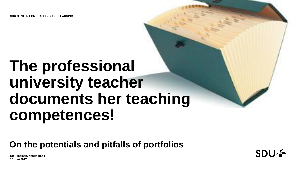**SDU CENTER FOR TEACHING AND LEARNING**

# **The professional university teacher documents her teaching competences!**

### **On the potentials and pitfalls of portfolios**

**Rie Troelsen, riet@sdu.dk 15. juni 2017**

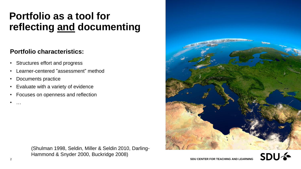### **Portfolio as a tool for reflecting and documenting**

#### **Portfolio characteristics:**

- Structures effort and progress
- Learner-centered "assessment" method
- Documents practice
- Evaluate with a variety of evidence
- Focuses on openness and reflection





• …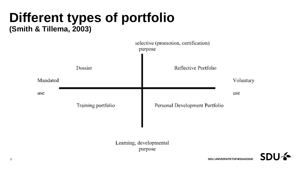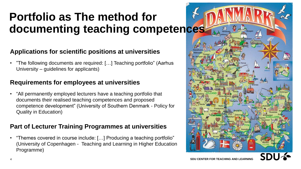### **Portfolio as The method for documenting teaching competences**

#### **Applications for scientific positions at universities**

• "The following documents are required: […] Teaching portfolio" (Aarhus University – guidelines for applicants)

#### **Requirements for employees at universities**

• "All permanently employed lecturers have a teaching portfolio that documents their realised teaching competences and proposed competence development" (University of Southern Denmark - Policy for Quality in Education)

#### **Part of Lecturer Training Programmes at universities**

• "Themes covered in course include: […] Producing a teaching portfolio" (University of Copenhagen - Teaching and Learning in Higher Education Programme)

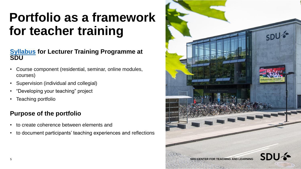### **Portfolio as a framework for teacher training**

#### **[Syllabus](http://www.sdu.dk/en/om_sdu/institutter_centre/c_unipaedagogik/universitetspaedagogikum/model_aug_2016#4.5M) for Lecturer Training Programme at SDU**

- Course component (residential, seminar, online modules, courses)
- Supervision (individual and collegial)
- "Developing your teaching" project
- Teaching portfolio

#### **Purpose of the portfolio**

- to create coherence between elements and
- to document participants' teaching experiences and reflections

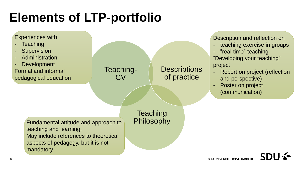## **Elements of LTP-portfolio**

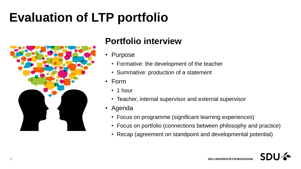### **Evaluation of LTP portfolio**



### **Portfolio interview**

- Purpose
	- Formative: the development of the teacher
	- Summative: production of a statement
- Form
	- 1 hour
	- Teacher, internal supervisor and external supervisor
- Agenda
	- Focus on programme (significant learning experiences)
	- Focus on portfolio (connections between philosophy and practice)
	- Recap (agreement on standpoint and developmental potential)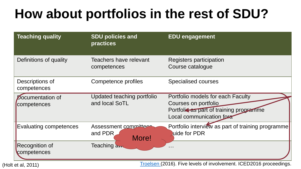## **How about portfolios in the rest of SDU?**

| <b>Teaching quality</b>         | <b>SDU policies and</b><br><b>practices</b>  | <b>EDU engagement</b>                                                                                                            |
|---------------------------------|----------------------------------------------|----------------------------------------------------------------------------------------------------------------------------------|
| Definitions of quality          | <b>Teachers have relevant</b><br>competences | Registers participation<br>Course catalogue                                                                                      |
| Descriptions of<br>competences  | Competence profiles                          | <b>Specialised courses</b>                                                                                                       |
| Documentation of<br>competences | Updated teaching portfolio<br>and local SoTL | Portfolio models for each Faculty<br>Courses on portfolio<br>Portfolic as part of training programme<br>Local communication fora |
| Evaluating competences          | Assessment committee<br>and PDR<br>More!     | Portfolio interview as part of training programme<br>uide for PDR                                                                |
| Recognition of<br>competences   | Teaching aw                                  | .                                                                                                                                |

(Holt et al, 2011) [Troelsen](http://findresearcher.sdu.dk/portal/en/persons/rie-troelsen(d95f4f03-5a12-459a-84b5-67663c21a03c)/publications.html) (2016). Five levels of involvement. ICED2016 proceedings.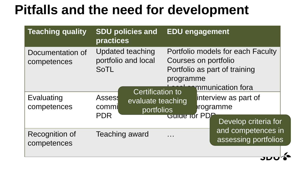## **Pitfalls and the need for development**

| <b>Teaching quality</b>              | <b>SDU policies and</b><br><b>practices</b>                                                               | <b>EDU engagement</b>                                                                                                       |
|--------------------------------------|-----------------------------------------------------------------------------------------------------------|-----------------------------------------------------------------------------------------------------------------------------|
| Documentation of<br>competences      | <b>Updated teaching</b><br>portfolio and local<br><b>SoTL</b>                                             | Portfolio models for each Faculty<br>Courses on portfolio<br>Portfolio as part of training<br>programme<br>mmunication fora |
| Evaluating<br>competences            | <b>Certification to</b><br><b>Assess</b><br>evaluate teaching<br>commi<br><b>portfolios</b><br><b>PDR</b> | interview as part of<br>rogramme<br>Guide for PDF<br>Develop criteria for                                                   |
| <b>Recognition of</b><br>competences | <b>Teaching award</b>                                                                                     | and competences in<br>assessing portfolios                                                                                  |

 $\overline{\mathbf{L}}$